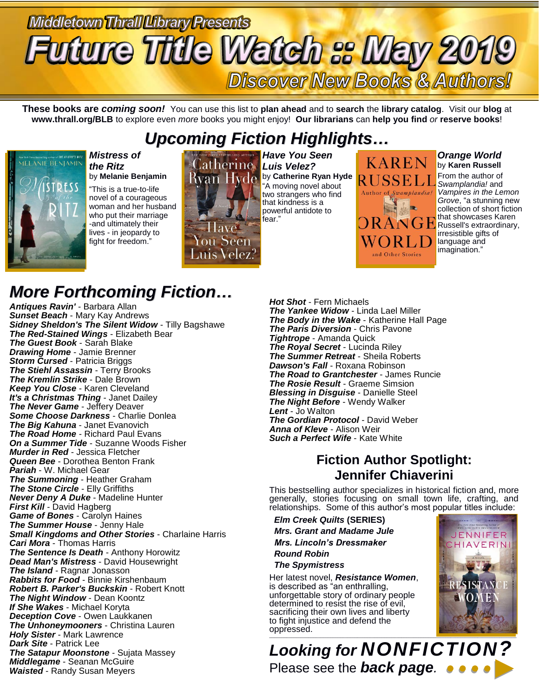# Middletown Thrall Library Presents **Future Title Watch :: May 2019 Discover New Books & Authors!**

**These books are** *coming soon!* You can use this list to **plan ahead** and to **search** the **library catalog**. Visit our **blog** at **www.thrall.org/BLB** to explore even *more* books you might enjoy! **Our librarians** can **help you find** *or* **reserve books**!

## *Upcoming Fiction Highlights…*



#### *Mistress of the Ritz* by **Melanie Benjamin**

"This is a true-to-life novel of a courageous woman and her husband who put their marriage -and ultimately their lives - in jeopardy to fight for freedom."



*Have You Seen Luis Velez?* **Rvan Hyde** by Catherine Ryan Hyde "A moving novel about two strangers who find that kindness is a powerful antidote to fear."



#### *Orange World* by **Karen Russell**

From the author of *Swamplandia!* and *Vampires in the Lemon Grove*, "a stunning new collection of short fiction that showcases Karen **R** Russell's extraordinary, irresistible gifts of language and imagination."

## *More Forthcoming Fiction…*

*Antiques Ravin'* - Barbara Allan *Sunset Beach* - Mary Kay Andrews *Sidney Sheldon's The Silent Widow* - Tilly Bagshawe *The Red-Stained Wings* - Elizabeth Bear *The Guest Book* - Sarah Blake *Drawing Home* - Jamie Brenner *Storm Cursed* - Patricia Briggs *The Stiehl Assassin* - Terry Brooks *The Kremlin Strike* - Dale Brown *Keep You Close* - Karen Cleveland *It's a Christmas Thing* - Janet Dailey *The Never Game* - Jeffery Deaver *Some Choose Darkness* - Charlie Donlea *The Big Kahuna* - Janet Evanovich *The Road Home* - Richard Paul Evans *On a Summer Tide* - Suzanne Woods Fisher *Murder in Red* - Jessica Fletcher *Queen Bee* - Dorothea Benton Frank *Pariah* - W. Michael Gear *The Summoning* - Heather Graham *The Stone Circle* - Elly Griffiths *Never Deny A Duke* - Madeline Hunter *First Kill* - David Hagberg *Game of Bones* - Carolyn Haines *The Summer House* - Jenny Hale *Small Kingdoms and Other Stories* - Charlaine Harris *Cari Mora* - Thomas Harris *The Sentence Is Death* - Anthony Horowitz *Dead Man's Mistress* - David Housewright *The Island* - Ragnar Jonasson *Rabbits for Food* - Binnie Kirshenbaum *Robert B. Parker's Buckskin* - Robert Knott *The Night Window* - Dean Koontz *If She Wakes* - Michael Koryta *Deception Cove* - Owen Laukkanen *The Unhoneymooners* - Christina Lauren *Holy Sister* - Mark Lawrence *Dark Site* - Patrick Lee *The Satapur Moonstone* - Sujata Massey *Middlegame* - Seanan McGuire *Waisted* - Randy Susan Meyers

*Hot Shot* - Fern Michaels *The Yankee Widow* - Linda Lael Miller *The Body in the Wake* - Katherine Hall Page *The Paris Diversion* - Chris Pavone *Tightrope* - Amanda Quick *The Royal Secret* - Lucinda Riley *The Summer Retreat* - Sheila Roberts *Dawson's Fall* - Roxana Robinson *The Road to Grantchester* - James Runcie *The Rosie Result* - Graeme Simsion *Blessing in Disguise* - Danielle Steel *The Night Before* - Wendy Walker *Lent* - Jo Walton *The Gordian Protocol* - David Weber *Anna of Kleve* - Alison Weir *Such a Perfect Wife* - Kate White

### **Fiction Author Spotlight: Jennifer Chiaverini**

This bestselling author specializes in historical fiction and, more generally, stories focusing on small town life, crafting, and relationships. Some of this author's most popular titles include:

 *Elm Creek Quilts* **(SERIES)**  *Mrs. Grant and Madame Jule Mrs. Lincoln's Dressmaker Round Robin The Spymistress*

Her latest novel, *Resistance Women*, is described as "an enthralling, unforgettable story of ordinary people determined to resist the rise of evil, sacrificing their own lives and liberty to fight injustice and defend the oppressed.



*Looking for NONFICTION?* Please see the *back page.*